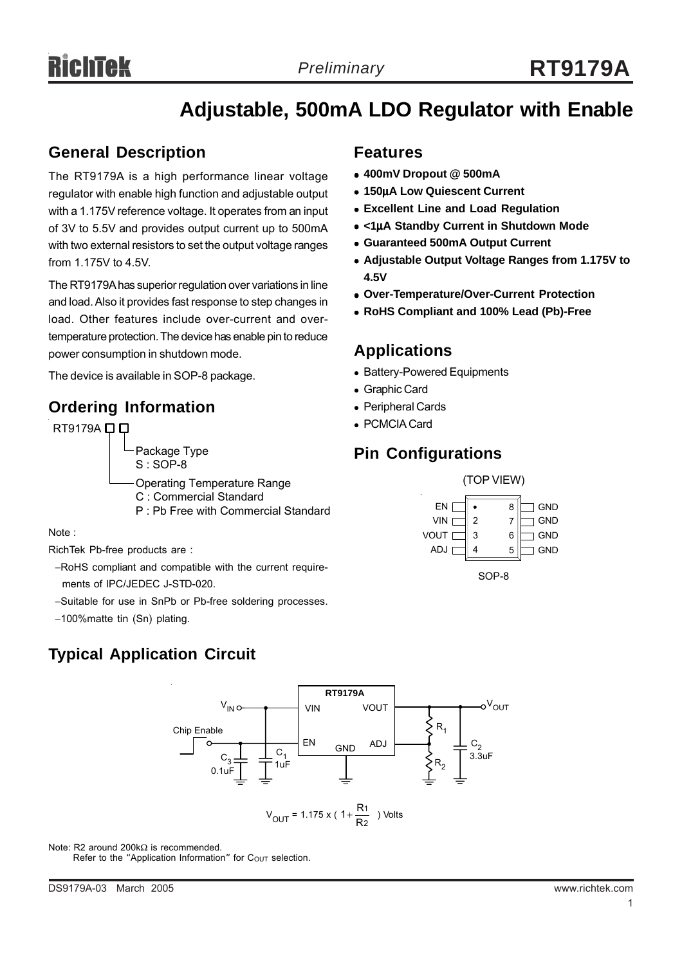## **Adjustable, 500mA LDO Regulator with Enable**

### **General Description**

The RT9179A is a high performance linear voltage regulator with enable high function and adjustable output with a 1.175V reference voltage. It operates from an input of 3V to 5.5V and provides output current up to 500mA with two external resistors to set the output voltage ranges from 1.175V to 4.5V.

The RT9179A has superior regulation over variations in line and load. Also it provides fast response to step changes in load. Other features include over-current and overtemperature protection. The device has enable pin to reduce power consumption in shutdown mode.

The device is available in SOP-8 package.

## **Ordering Information**



Note :

RichTek Pb-free products are :

- −RoHS compliant and compatible with the current require ments of IPC/JEDEC J-STD-020.
- −Suitable for use in SnPb or Pb-free soldering processes.
- −100%matte tin (Sn) plating.

## **Typical Application Circuit**

#### **Features**

- <sup>z</sup> **400mV Dropout @ 500mA**
- <sup>z</sup> **150**µ**A Low Quiescent Current**
- **Excellent Line and Load Regulation**
- <sup>z</sup> **<1**µ**A Standby Current in Shutdown Mode**
- <sup>z</sup> **Guaranteed 500mA Output Current**
- <sup>z</sup> **Adjustable Output Voltage Ranges from 1.175V to 4.5V**
- <sup>z</sup> **Over-Temperature/Over-Current Protection**
- <sup>z</sup> **RoHS Compliant and 100% Lead (Pb)-Free**

## **Applications**

- Battery-Powered Equipments
- Graphic Card
- Peripheral Cards
- PCMCIA Card

## **Pin Configurations**





Note: R2 around 200kΩ is recommended.

Refer to the "Application Information" for Cout selection.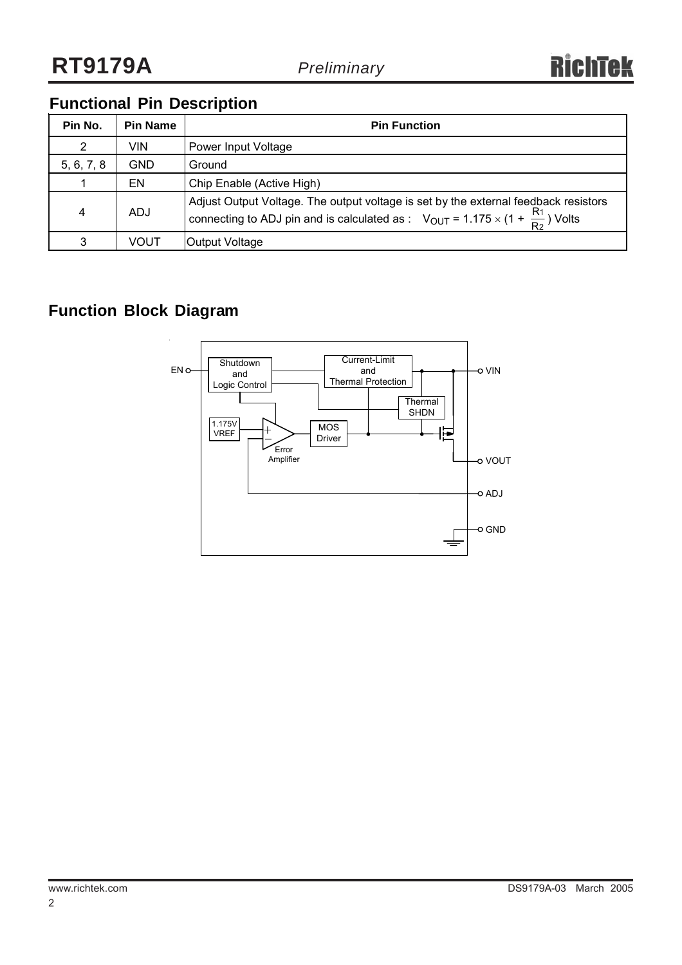## **Functional Pin Description**

| Pin No.    | <b>Pin Name</b> | <b>Pin Function</b>                                                                                                                                                                      |
|------------|-----------------|------------------------------------------------------------------------------------------------------------------------------------------------------------------------------------------|
| 2          | VIN             | Power Input Voltage                                                                                                                                                                      |
| 5, 6, 7, 8 | GND             | Ground                                                                                                                                                                                   |
|            | EN              | Chip Enable (Active High)                                                                                                                                                                |
| 4          | <b>ADJ</b>      | Adjust Output Voltage. The output voltage is set by the external feedback resistors<br>connecting to ADJ pin and is calculated as : $V_{OUT} = 1.175 \times (1 + \frac{R_1}{R_2})$ Volts |
| 3          | VOUT            | Output Voltage                                                                                                                                                                           |

## **Function Block Diagram**

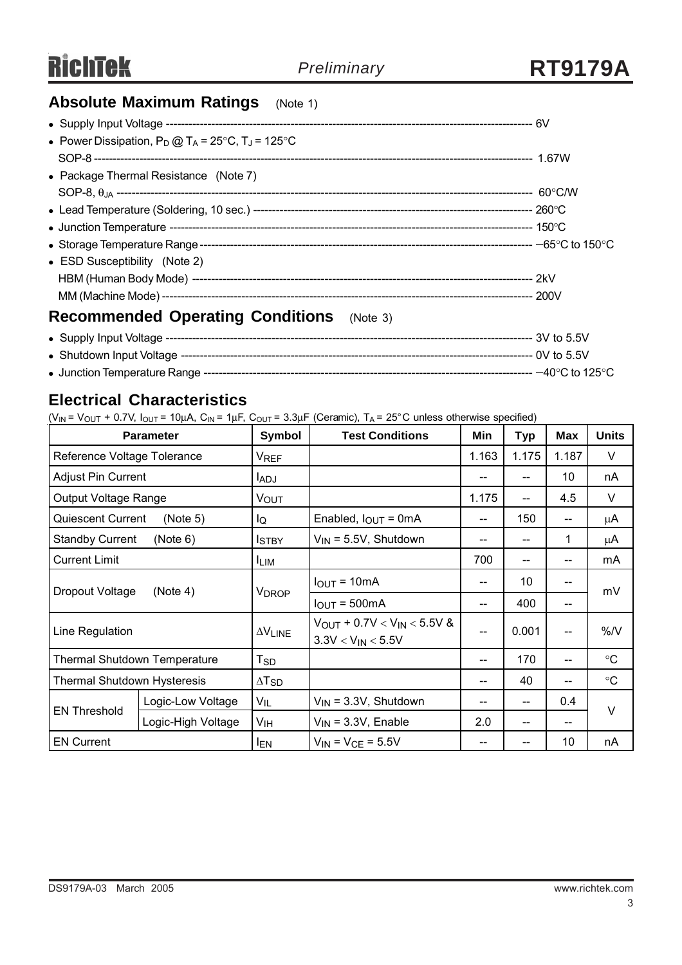## **Absolute Maximum Ratings** (Note 1)

| • Power Dissipation, $P_D @ T_A = 25^{\circ}C$ , $T_J = 125^{\circ}C$ |  |
|-----------------------------------------------------------------------|--|
|                                                                       |  |
| • Package Thermal Resistance (Note 7)                                 |  |
|                                                                       |  |
|                                                                       |  |
|                                                                       |  |
|                                                                       |  |
| • ESD Susceptibility (Note 2)                                         |  |
|                                                                       |  |
|                                                                       |  |
| Recommended Operating Conditions (Note 3)                             |  |

#### **Recommended Operating Conditions** (Note 3)

|  | ----- 3V to 5.5V                    |
|--|-------------------------------------|
|  |                                     |
|  | $-40^{\circ}$ C to 125 $^{\circ}$ C |

## **Electrical Characteristics**

 $(V_{IN} = V_{OUT} + 0.7V, I_{OUT} = 10\mu A, C_{IN} = 1\mu F, C_{OUT} = 3.3\mu F$  (Ceramic),  $T_A = 25^{\circ}$ C unless otherwise specified)

| <b>Parameter</b>                    |                    | Symbol                   | <b>Test Conditions</b>                                         | Min   | <b>Typ</b>                            | Max   | <b>Units</b>      |  |
|-------------------------------------|--------------------|--------------------------|----------------------------------------------------------------|-------|---------------------------------------|-------|-------------------|--|
| Reference Voltage Tolerance         |                    | <b>V<sub>REF</sub></b>   |                                                                | 1.163 | 1.175                                 | 1.187 | V                 |  |
| <b>Adjust Pin Current</b>           |                    | <b>LADJ</b>              |                                                                | --    |                                       | 10    | nA                |  |
| Output Voltage Range                |                    | Vout                     |                                                                | 1.175 | $-$                                   | 4.5   | V                 |  |
| <b>Quiescent Current</b>            | (Note 5)           | lQ                       | Enabled, $I_{\text{OUT}} = 0 \text{mA}$                        | --    | 150                                   | --    | μA                |  |
| <b>Standby Current</b>              | (Note 6)           | <b>ISTBY</b>             | $V_{IN}$ = 5.5V, Shutdown                                      | --    |                                       | 1     | μA                |  |
| <b>Current Limit</b>                |                    | <b>LIM</b>               |                                                                | 700   | $\hspace{0.05cm}$ – $\hspace{0.05cm}$ | --    | mA                |  |
| Dropout Voltage<br>(Note 4)         |                    | <b>V</b> <sub>DROP</sub> | $IOUT = 10mA$                                                  | --    | 10                                    |       | mV                |  |
|                                     |                    |                          | $I_{OUT} = 500mA$                                              | --    | 400                                   |       |                   |  |
| Line Regulation                     |                    | $\Delta V_{LINE}$        | $V_{OUT}$ + 0.7V < $V_{IN}$ < 5.5V &<br>$3.3V < V_{IN} < 5.5V$ | $-$   | 0.001                                 | --    | %N                |  |
| <b>Thermal Shutdown Temperature</b> |                    | $T_{SD}$                 |                                                                | --    | 170                                   |       | $^{\circ}{\rm C}$ |  |
| <b>Thermal Shutdown Hysteresis</b>  |                    | $\Delta$ T <sub>SD</sub> |                                                                | --    | 40                                    | --    | $^{\circ}{\rm C}$ |  |
| <b>EN Threshold</b>                 | Logic-Low Voltage  | $V_{IL}$                 | $V_{IN}$ = 3.3V, Shutdown                                      | --    |                                       | 0.4   | V                 |  |
|                                     | Logic-High Voltage | V <sub>IH</sub>          | $V_{\text{IN}}$ = 3.3V, Enable                                 | 2.0   |                                       | --    |                   |  |
| <b>EN Current</b>                   |                    | <b>IEN</b>               | $V_{IN} = V_{CE} = 5.5V$                                       | --    |                                       | 10    | nA                |  |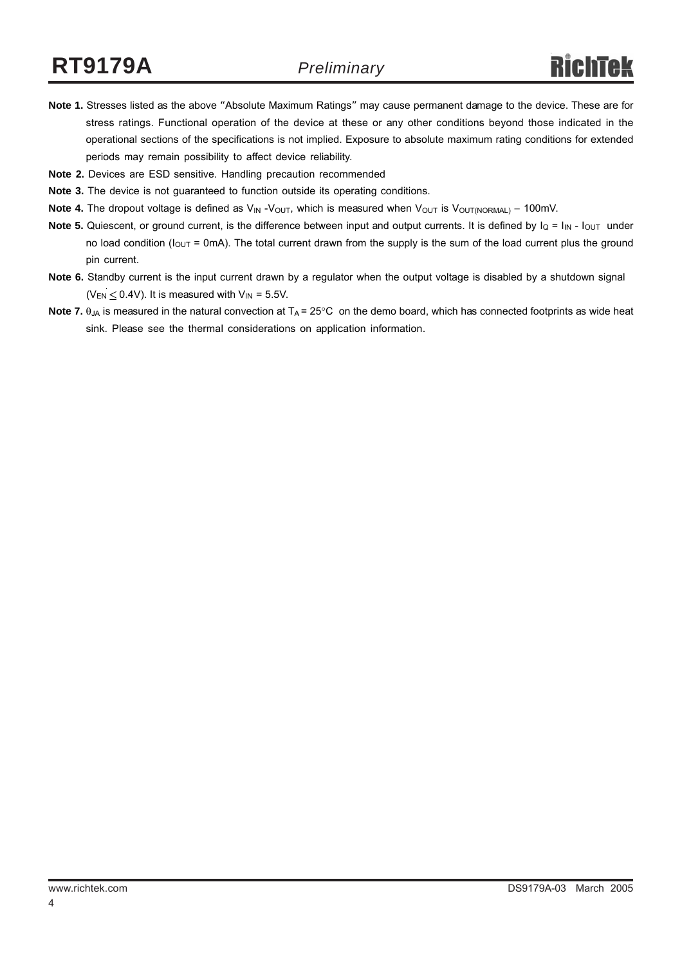- **Note 1.** Stresses listed as the above "Absolute Maximum Ratings" may cause permanent damage to the device. These are for stress ratings. Functional operation of the device at these or any other conditions beyond those indicated in the operational sections of the specifications is not implied. Exposure to absolute maximum rating conditions for extended periods may remain possibility to affect device reliability.
- **Note 2.** Devices are ESD sensitive. Handling precaution recommended
- **Note 3.** The device is not guaranteed to function outside its operating conditions.
- Note 4. The dropout voltage is defined as V<sub>IN</sub> -V<sub>OUT</sub>, which is measured when V<sub>OUT</sub> is V<sub>OUT(NORMAL)</sub> − 100mV.
- **Note 5.** Quiescent, or ground current, is the difference between input and output currents. It is defined by  $I_Q = I_{IN} I_{OUT}$  under no load condition ( $I_{OUT}$  = 0mA). The total current drawn from the supply is the sum of the load current plus the ground pin current.
- **Note 6.** Standby current is the input current drawn by a regulator when the output voltage is disabled by a shutdown signal ( $V_{EN} \leq 0.4V$ ). It is measured with  $V_{IN} = 5.5V$ .
- **Note 7.**  $\theta_{JA}$  is measured in the natural convection at  $T_A = 25^{\circ}C$  on the demo board, which has connected footprints as wide heat sink. Please see the thermal considerations on application information.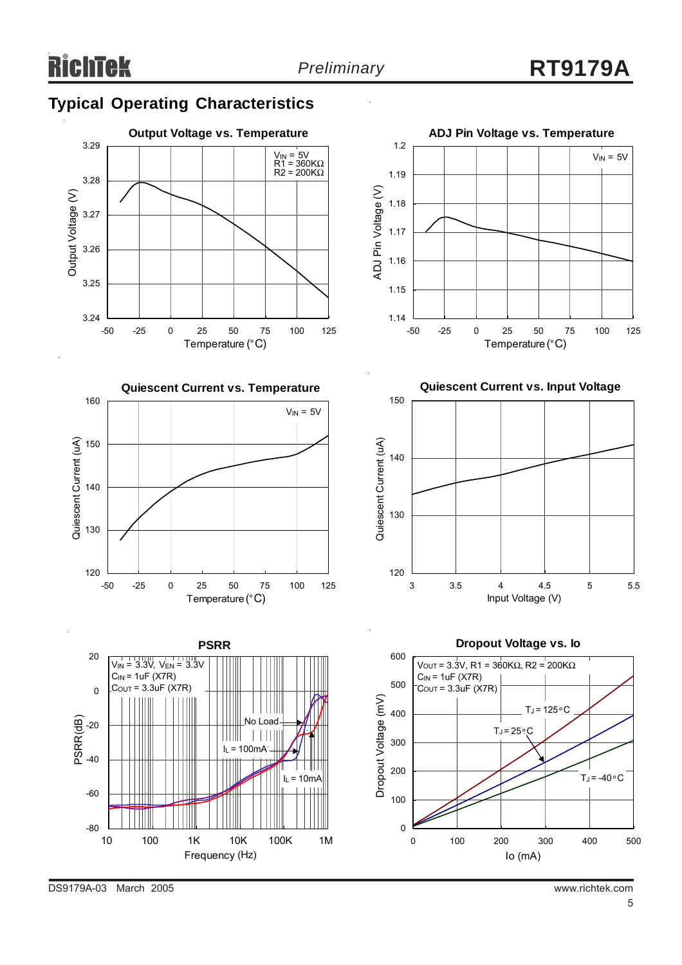## **Typical Operating Characteristics**







**Quiescent Current vs. Input Voltage**











DS9179A-03 March 2005 www.richtek.com

PSRR(dB)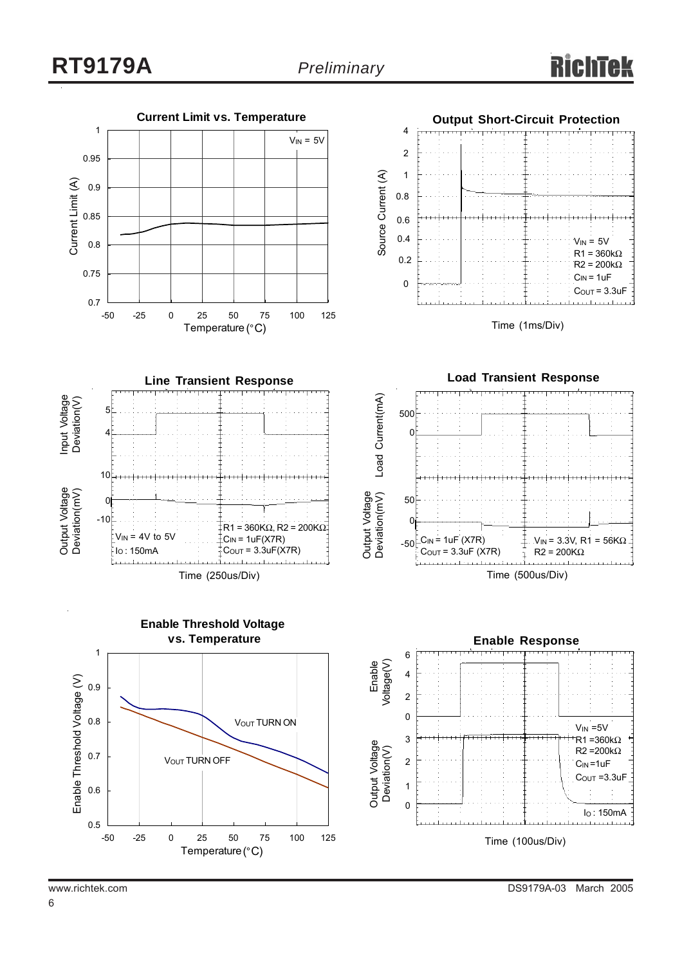

6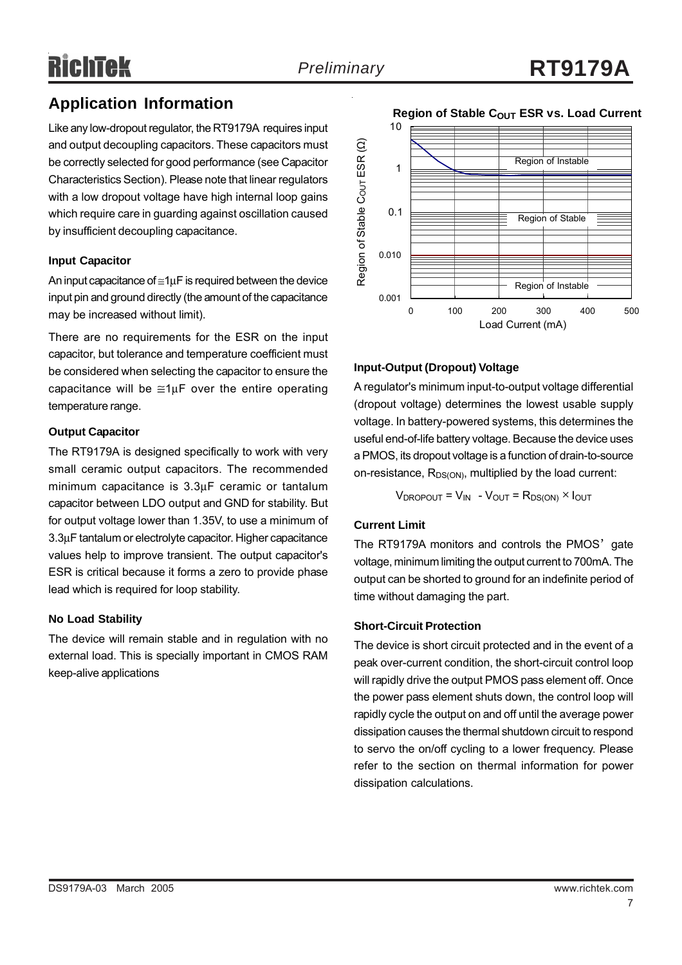# RichTek

## **Application Information**

Like any low-dropout regulator, the RT9179A requires input and output decoupling capacitors. These capacitors must be correctly selected for good performance (see Capacitor Characteristics Section). Please note that linear regulators with a low dropout voltage have high internal loop gains which require care in guarding against oscillation caused by insufficient decoupling capacitance.

#### **Input Capacitor**

An input capacitance of ≅1µF is required between the device input pin and ground directly (the amount of the capacitance may be increased without limit).

There are no requirements for the ESR on the input capacitor, but tolerance and temperature coefficient must be considered when selecting the capacitor to ensure the capacitance will be  $\cong 1 \mu$ F over the entire operating temperature range.

#### **Output Capacitor**

The RT9179A is designed specifically to work with very small ceramic output capacitors. The recommended minimum capacitance is 3.3µF ceramic or tantalum capacitor between LDO output and GND for stability. But for output voltage lower than 1.35V, to use a minimum of 3.3µF tantalum or electrolyte capacitor. Higher capacitance values help to improve transient. The output capacitor's ESR is critical because it forms a zero to provide phase lead which is required for loop stability.

#### **No Load Stability**

The device will remain stable and in regulation with no external load. This is specially important in CMOS RAM keep-alive applications



#### **Region of Stable COUT ESR vs. Load Current**

#### **Input-Output (Dropout) Voltage**

A regulator's minimum input-to-output voltage differential (dropout voltage) determines the lowest usable supply voltage. In battery-powered systems, this determines the useful end-of-life battery voltage. Because the device uses a PMOS, its dropout voltage is a function of drain-to-source on-resistance,  $R_{DS(ON)}$ , multiplied by the load current:

$$
V_{DROPOUT} = V_{IN} - V_{OUT} = R_{DS(ON)} \times I_{OUT}
$$

#### **Current Limit**

The RT9179A monitors and controls the PMOS' gate voltage, minimum limiting the output current to 700mA. The output can be shorted to ground for an indefinite period of time without damaging the part.

#### **Short-Circuit Protection**

The device is short circuit protected and in the event of a peak over-current condition, the short-circuit control loop will rapidly drive the output PMOS pass element off. Once the power pass element shuts down, the control loop will rapidly cycle the output on and off until the average power dissipation causes the thermal shutdown circuit to respond to servo the on/off cycling to a lower frequency. Please refer to the section on thermal information for power dissipation calculations.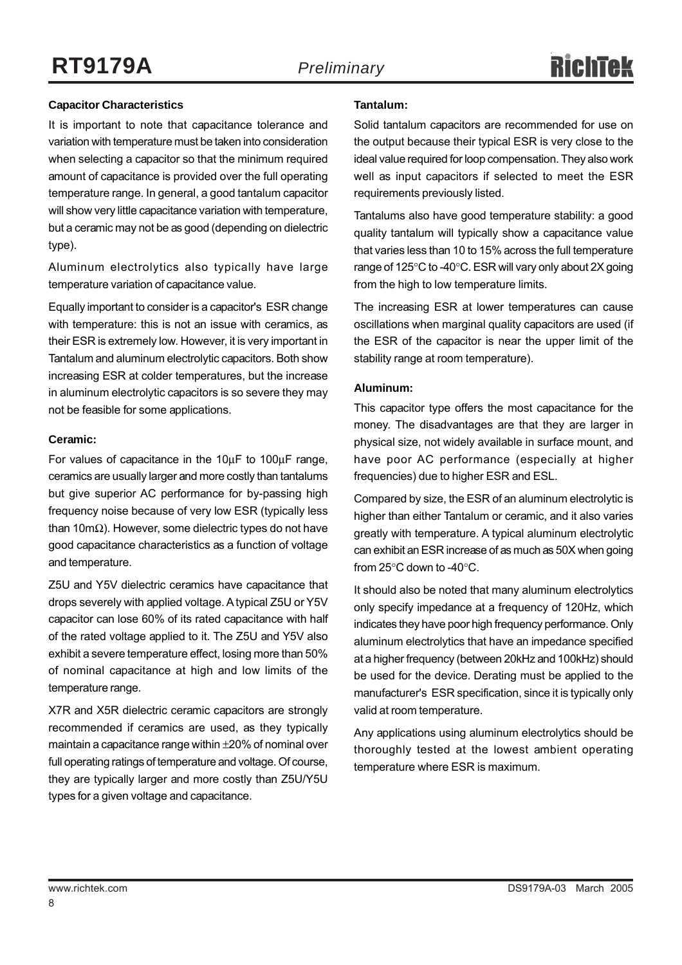#### **Capacitor Characteristics**

It is important to note that capacitance tolerance and variation with temperature must be taken into consideration when selecting a capacitor so that the minimum required amount of capacitance is provided over the full operating temperature range. In general, a good tantalum capacitor will show very little capacitance variation with temperature, but a ceramic may not be as good (depending on dielectric type).

Aluminum electrolytics also typically have large temperature variation of capacitance value.

Equally important to consider is a capacitor's ESR change with temperature: this is not an issue with ceramics, as their ESR is extremely low. However, it is very important in Tantalum and aluminum electrolytic capacitors. Both show increasing ESR at colder temperatures, but the increase in aluminum electrolytic capacitors is so severe they may not be feasible for some applications.

#### **Ceramic:**

For values of capacitance in the 10µF to 100µF range, ceramics are usually larger and more costly than tantalums but give superior AC performance for by-passing high frequency noise because of very low ESR (typically less than 10mΩ). However, some dielectric types do not have good capacitance characteristics as a function of voltage and temperature.

Z5U and Y5V dielectric ceramics have capacitance that drops severely with applied voltage. A typical Z5U or Y5V capacitor can lose 60% of its rated capacitance with half of the rated voltage applied to it. The Z5U and Y5V also exhibit a severe temperature effect, losing more than 50% of nominal capacitance at high and low limits of the temperature range.

X7R and X5R dielectric ceramic capacitors are strongly recommended if ceramics are used, as they typically maintain a capacitance range within ±20% of nominal over full operating ratings of temperature and voltage. Of course, they are typically larger and more costly than Z5U/Y5U types for a given voltage and capacitance.

#### **Tantalum:**

Solid tantalum capacitors are recommended for use on the output because their typical ESR is very close to the ideal value required for loop compensation. They also work well as input capacitors if selected to meet the ESR requirements previously listed.

Tantalums also have good temperature stability: a good quality tantalum will typically show a capacitance value that varies less than 10 to 15% across the full temperature range of 125°C to -40°C. ESR will vary only about 2X going from the high to low temperature limits.

The increasing ESR at lower temperatures can cause oscillations when marginal quality capacitors are used (if the ESR of the capacitor is near the upper limit of the stability range at room temperature).

#### **Aluminum:**

This capacitor type offers the most capacitance for the money. The disadvantages are that they are larger in physical size, not widely available in surface mount, and have poor AC performance (especially at higher frequencies) due to higher ESR and ESL.

Compared by size, the ESR of an aluminum electrolytic is higher than either Tantalum or ceramic, and it also varies greatly with temperature. A typical aluminum electrolytic can exhibit an ESR increase of as much as 50X when going from 25°C down to -40°C.

It should also be noted that many aluminum electrolytics only specify impedance at a frequency of 120Hz, which indicates they have poor high frequency performance. Only aluminum electrolytics that have an impedance specified at a higher frequency (between 20kHz and 100kHz) should be used for the device. Derating must be applied to the manufacturer's ESR specification, since it is typically only valid at room temperature.

Any applications using aluminum electrolytics should be thoroughly tested at the lowest ambient operating temperature where ESR is maximum.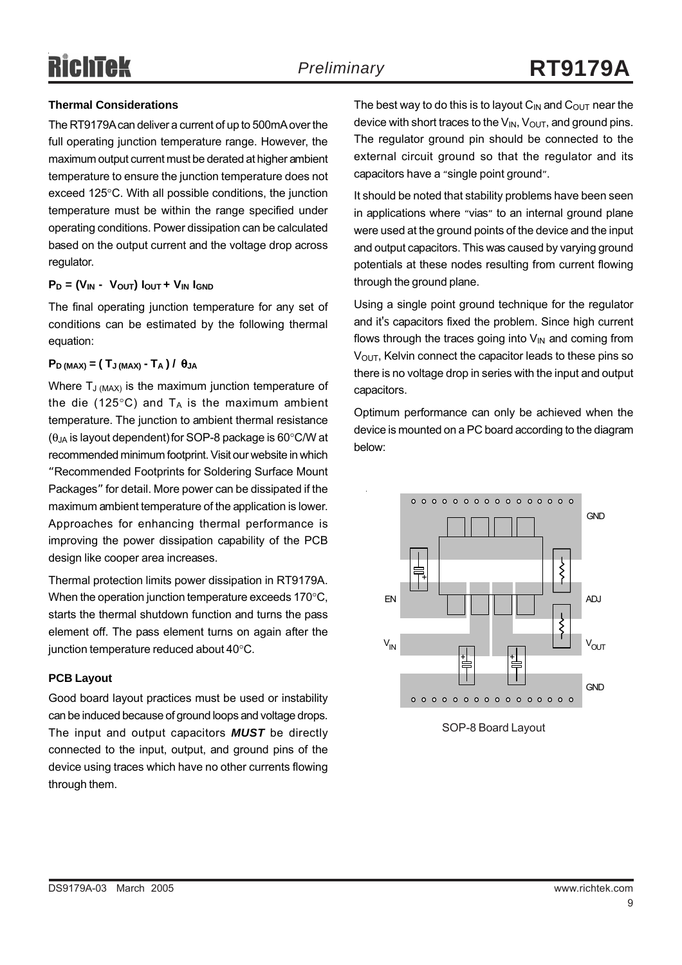## RichTek

#### **Thermal Considerations**

The RT9179A can deliver a current of up to 500mA over the full operating junction temperature range. However, the maximum output current must be derated at higher ambient temperature to ensure the junction temperature does not exceed 125°C. With all possible conditions, the junction temperature must be within the range specified under operating conditions. Power dissipation can be calculated based on the output current and the voltage drop across regulator.

#### $P_D = (V_{IN} - V_{OUT}) I_{OUT} + V_{IN} I_{GND}$

The final operating junction temperature for any set of conditions can be estimated by the following thermal equation:

#### $P<sub>D</sub>$  (MAX) = (T<sub>J</sub> (MAX) - T<sub>A</sub>) / θ<sub>JA</sub>

Where  $T_{J (MAX)}$  is the maximum junction temperature of the die (125 $\degree$ C) and T<sub>A</sub> is the maximum ambient temperature. The junction to ambient thermal resistance  $(\theta_{JA}$  is layout dependent) for SOP-8 package is 60 $\degree$ C/W at recommended minimum footprint. Visit our website in which "Recommended Footprints for Soldering Surface Mount Packages" for detail. More power can be dissipated if the maximum ambient temperature of the application is lower. Approaches for enhancing thermal performance is improving the power dissipation capability of the PCB design like cooper area increases.

Thermal protection limits power dissipation in RT9179A. When the operation junction temperature exceeds 170°C, starts the thermal shutdown function and turns the pass element off. The pass element turns on again after the junction temperature reduced about 40°C.

#### **PCB Layout**

Good board layout practices must be used or instability can be induced because of ground loops and voltage drops. The input and output capacitors *MUST* be directly connected to the input, output, and ground pins of the device using traces which have no other currents flowing through them.

The best way to do this is to layout  $C_{IN}$  and  $C_{OUT}$  near the device with short traces to the  $V_{IN}$ ,  $V_{OUT}$ , and ground pins. The regulator ground pin should be connected to the external circuit ground so that the regulator and its capacitors have a "single point ground".

It should be noted that stability problems have been seen in applications where "vias" to an internal ground plane were used at the ground points of the device and the input and output capacitors. This was caused by varying ground potentials at these nodes resulting from current flowing through the ground plane.

Using a single point ground technique for the regulator and it's capacitors fixed the problem. Since high current flows through the traces going into  $V_{\text{IN}}$  and coming from  $V<sub>OUT</sub>$ , Kelvin connect the capacitor leads to these pins so there is no voltage drop in series with the input and output capacitors.

Optimum performance can only be achieved when the device is mounted on a PC board according to the diagram below:



SOP-8 Board Layout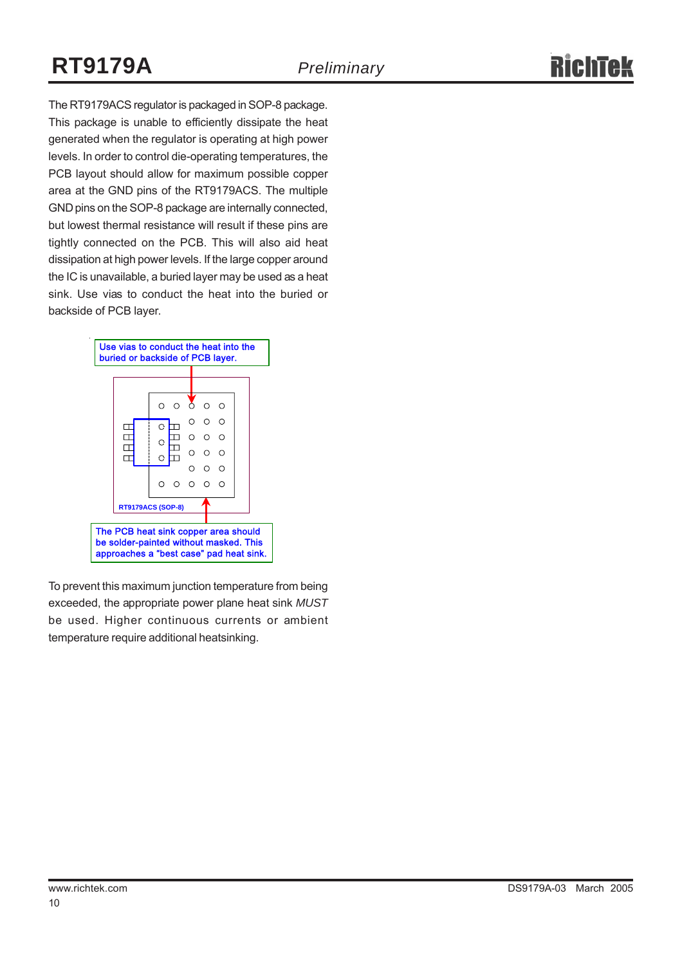## **RT9179A** *Preliminary*

The RT9179ACS regulator is packaged in SOP-8 package. This package is unable to efficiently dissipate the heat generated when the regulator is operating at high power levels. In order to control die-operating temperatures, the PCB layout should allow for maximum possible copper area at the GND pins of the RT9179ACS. The multiple GND pins on the SOP-8 package are internally connected, but lowest thermal resistance will result if these pins are

tightly connected on the PCB. This will also aid heat dissipation at high power levels. If the large copper around the IC is unavailable, a buried layer may be used as a heat sink. Use vias to conduct the heat into the buried or backside of PCB layer.

| Use vias to conduct the heat into the<br>buried or backside of PCB layer.                                                 |                          |           |          |         |                 |          |  |  |  |
|---------------------------------------------------------------------------------------------------------------------------|--------------------------|-----------|----------|---------|-----------------|----------|--|--|--|
|                                                                                                                           |                          |           |          |         |                 |          |  |  |  |
|                                                                                                                           |                          |           |          |         |                 |          |  |  |  |
|                                                                                                                           |                          | ∩         | $\Omega$ |         | $\circ$         |          |  |  |  |
|                                                                                                                           |                          | Ō.        |          | $\circ$ |                 | റ റ      |  |  |  |
|                                                                                                                           |                          | $\bullet$ |          | $\circ$ |                 | $\Omega$ |  |  |  |
|                                                                                                                           |                          | О.        |          |         | $\circ$ $\circ$ | $\circ$  |  |  |  |
|                                                                                                                           |                          |           |          |         | $\cap$          | $\Omega$ |  |  |  |
|                                                                                                                           |                          |           |          | ∩.      |                 |          |  |  |  |
|                                                                                                                           | <b>RT9179ACS (SOP-8)</b> |           |          |         |                 |          |  |  |  |
| The PCB heat sink copper area should<br>be solder-painted without masked. This<br>approaches a "best case" pad heat sink. |                          |           |          |         |                 |          |  |  |  |

To prevent this maximum junction temperature from being exceeded, the appropriate power plane heat sink *MUST* be used. Higher continuous currents or ambient temperature require additional heatsinking.